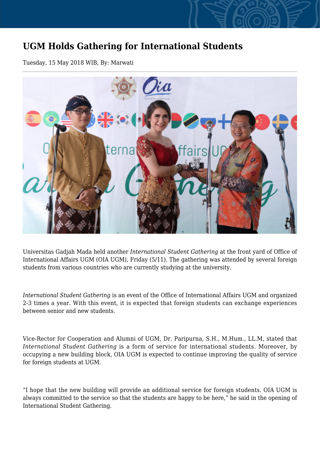## **UGM Holds Gathering for International Students**

Tuesday, 15 May 2018 WIB, By: Marwati



Universitas Gadjah Mada held another *International Student Gathering* at the front yard of Office of International Affairs UGM (OIA UGM), Friday (5/11). The gathering was attended by several foreign students from various countries who are currently studying at the university.

*International Student Gathering* is an event of the Office of International Affairs UGM and organized 2-3 times a year. With this event, it is expected that foreign students can exchange experiences between senior and new students.

Vice-Rector for Cooperation and Alumni of UGM, Dr. Paripurna, S.H., M.Hum., LL.M, stated that *International Student Gathering* is a form of service for international students. Moreover, by occupying a new building block, OIA UGM is expected to continue improving the quality of service for foreign students at UGM.

"I hope that the new building will provide an additional service for foreign students. OIA UGM is always committed to the service so that the students are happy to be here," he said in the opening of International Student Gathering.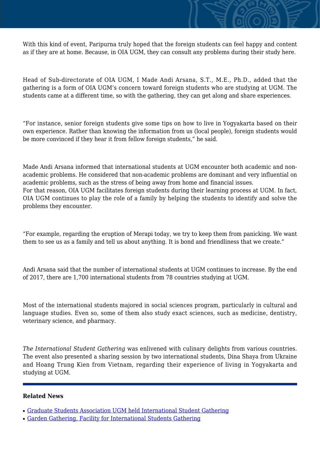With this kind of event, Paripurna truly hoped that the foreign students can feel happy and content as if they are at home. Because, in OIA UGM, they can consult any problems during their study here.

Head of Sub-directorate of OIA UGM, I Made Andi Arsana, S.T., M.E., Ph.D., added that the gathering is a form of OIA UGM's concern toward foreign students who are studying at UGM. The students came at a different time, so with the gathering, they can get along and share experiences.

"For instance, senior foreign students give some tips on how to live in Yogyakarta based on their own experience. Rather than knowing the information from us (local people), foreign students would be more convinced if they hear it from fellow foreign students," he said.

Made Andi Arsana informed that international students at UGM encounter both academic and nonacademic problems. He considered that non-academic problems are dominant and very influential on academic problems, such as the stress of being away from home and financial issues. For that reason, OIA UGM facilitates foreign students during their learning process at UGM. In fact, OIA UGM continues to play the role of a family by helping the students to identify and solve the problems they encounter.

"For example, regarding the eruption of Merapi today, we try to keep them from panicking. We want them to see us as a family and tell us about anything. It is bond and friendliness that we create."

Andi Arsana said that the number of international students at UGM continues to increase. By the end of 2017, there are 1,700 international students from 78 countries studying at UGM.

Most of the international students majored in social sciences program, particularly in cultural and language studies. Even so, some of them also study exact sciences, such as medicine, dentistry, veterinary science, and pharmacy.

*The International Student Gathering* was enlivened with culinary delights from various countries. The event also presented a sharing session by two international students, Dina Shaya from Ukraine and Hoang Trung Kien from Vietnam, regarding their experience of living in Yogyakarta and studying at UGM.

## **Related News**

- [Graduate Students Association UGM held International Student Gathering](http://ugm.ac.id/www.ugm.ac.id//en/news/16215-ugm-holds-gathering-for-international-students)
- [Garden Gathering, Facility for International Students Gathering](http://ugm.ac.id/www.ugm.ac.id//en/news/19108-international-students-held-a-gathering-event)